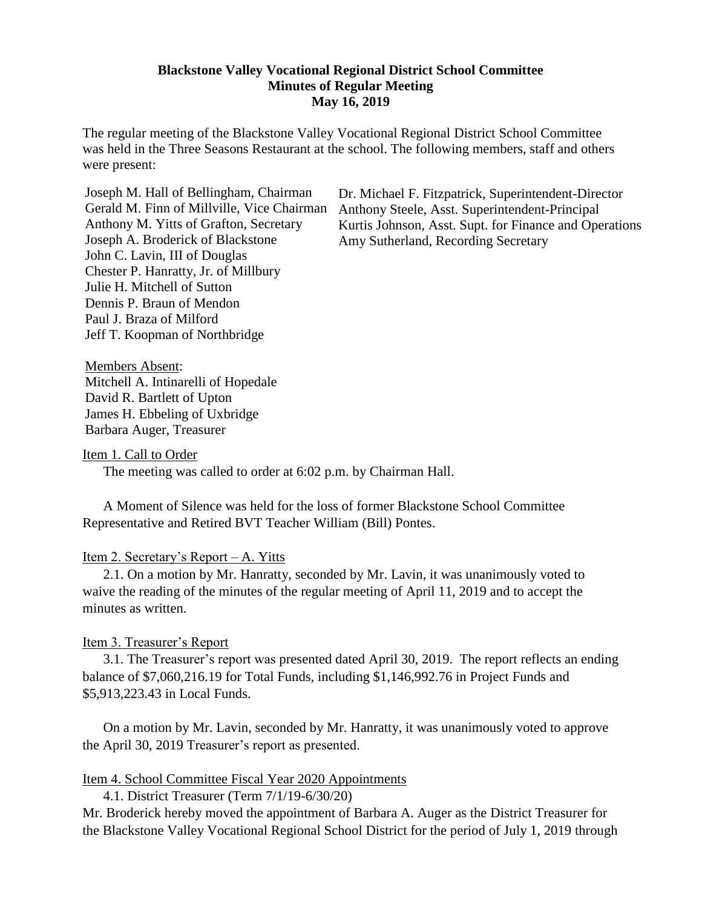#### **Blackstone Valley Vocational Regional District School Committee Minutes of Regular Meeting May 16, 2019**

The regular meeting of the Blackstone Valley Vocational Regional District School Committee was held in the Three Seasons Restaurant at the school. The following members, staff and others were present:

Joseph M. Hall of Bellingham, Chairman Gerald M. Finn of Millville, Vice Chairman Anthony M. Yitts of Grafton, Secretary Joseph A. Broderick of Blackstone John C. Lavin, III of Douglas Chester P. Hanratty, Jr. of Millbury Julie H. Mitchell of Sutton Dennis P. Braun of Mendon Paul J. Braza of Milford Jeff T. Koopman of Northbridge

Dr. Michael F. Fitzpatrick, Superintendent-Director Anthony Steele, Asst. Superintendent-Principal Kurtis Johnson, Asst. Supt. for Finance and Operations Amy Sutherland, Recording Secretary

Members Absent: Mitchell A. Intinarelli of Hopedale David R. Bartlett of Upton James H. Ebbeling of Uxbridge Barbara Auger, Treasurer

Item 1. Call to Order

The meeting was called to order at 6:02 p.m. by Chairman Hall.

A Moment of Silence was held for the loss of former Blackstone School Committee Representative and Retired BVT Teacher William (Bill) Pontes.

#### Item 2. Secretary's Report – A. Yitts

2.1. On a motion by Mr. Hanratty, seconded by Mr. Lavin, it was unanimously voted to waive the reading of the minutes of the regular meeting of April 11, 2019 and to accept the minutes as written.

#### Item 3. Treasurer's Report

3.1. The Treasurer's report was presented dated April 30, 2019. The report reflects an ending balance of \$7,060,216.19 for Total Funds, including \$1,146,992.76 in Project Funds and \$5,913,223.43 in Local Funds.

On a motion by Mr. Lavin, seconded by Mr. Hanratty, it was unanimously voted to approve the April 30, 2019 Treasurer's report as presented.

#### Item 4. School Committee Fiscal Year 2020 Appointments

4.1. District Treasurer (Term 7/1/19-6/30/20) Mr. Broderick hereby moved the appointment of Barbara A. Auger as the District Treasurer for the Blackstone Valley Vocational Regional School District for the period of July 1, 2019 through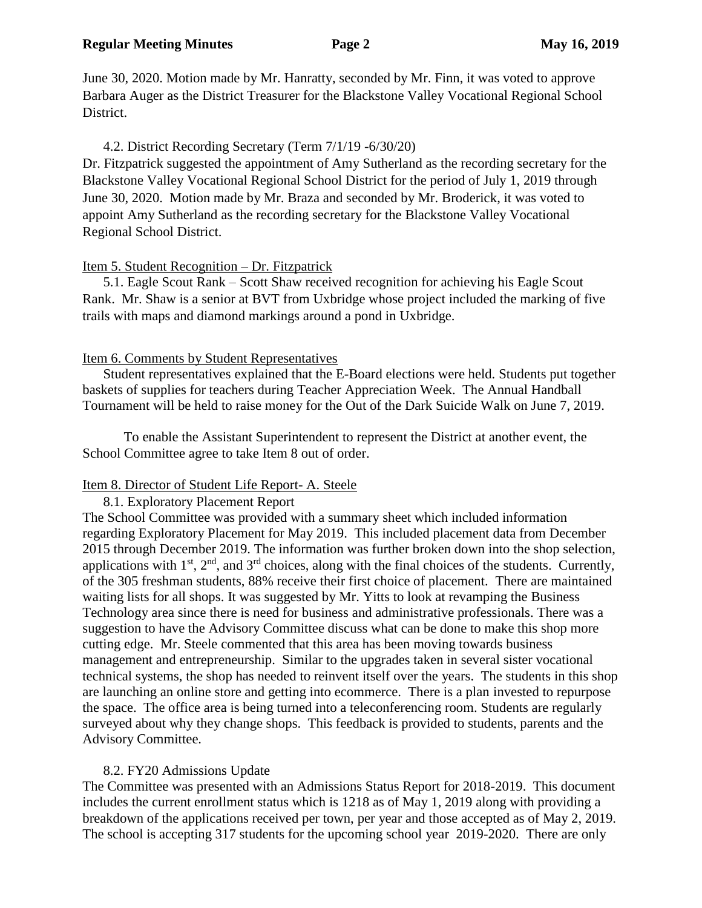June 30, 2020. Motion made by Mr. Hanratty, seconded by Mr. Finn, it was voted to approve Barbara Auger as the District Treasurer for the Blackstone Valley Vocational Regional School District.

### 4.2. District Recording Secretary (Term 7/1/19 -6/30/20)

Dr. Fitzpatrick suggested the appointment of Amy Sutherland as the recording secretary for the Blackstone Valley Vocational Regional School District for the period of July 1, 2019 through June 30, 2020. Motion made by Mr. Braza and seconded by Mr. Broderick, it was voted to appoint Amy Sutherland as the recording secretary for the Blackstone Valley Vocational Regional School District.

### Item 5. Student Recognition – Dr. Fitzpatrick

5.1. Eagle Scout Rank – Scott Shaw received recognition for achieving his Eagle Scout Rank. Mr. Shaw is a senior at BVT from Uxbridge whose project included the marking of five trails with maps and diamond markings around a pond in Uxbridge.

### Item 6. Comments by Student Representatives

Student representatives explained that the E-Board elections were held. Students put together baskets of supplies for teachers during Teacher Appreciation Week. The Annual Handball Tournament will be held to raise money for the Out of the Dark Suicide Walk on June 7, 2019.

To enable the Assistant Superintendent to represent the District at another event, the School Committee agree to take Item 8 out of order.

# Item 8. Director of Student Life Report- A. Steele

8.1. Exploratory Placement Report

The School Committee was provided with a summary sheet which included information regarding Exploratory Placement for May 2019. This included placement data from December 2015 through December 2019. The information was further broken down into the shop selection, applications with  $1<sup>st</sup>$ ,  $2<sup>nd</sup>$ , and  $3<sup>rd</sup>$  choices, along with the final choices of the students. Currently, of the 305 freshman students, 88% receive their first choice of placement. There are maintained waiting lists for all shops. It was suggested by Mr. Yitts to look at revamping the Business Technology area since there is need for business and administrative professionals. There was a suggestion to have the Advisory Committee discuss what can be done to make this shop more cutting edge. Mr. Steele commented that this area has been moving towards business management and entrepreneurship. Similar to the upgrades taken in several sister vocational technical systems, the shop has needed to reinvent itself over the years. The students in this shop are launching an online store and getting into ecommerce. There is a plan invested to repurpose the space. The office area is being turned into a teleconferencing room. Students are regularly surveyed about why they change shops. This feedback is provided to students, parents and the Advisory Committee.

# 8.2. FY20 Admissions Update

The Committee was presented with an Admissions Status Report for 2018-2019. This document includes the current enrollment status which is 1218 as of May 1, 2019 along with providing a breakdown of the applications received per town, per year and those accepted as of May 2, 2019. The school is accepting 317 students for the upcoming school year 2019-2020. There are only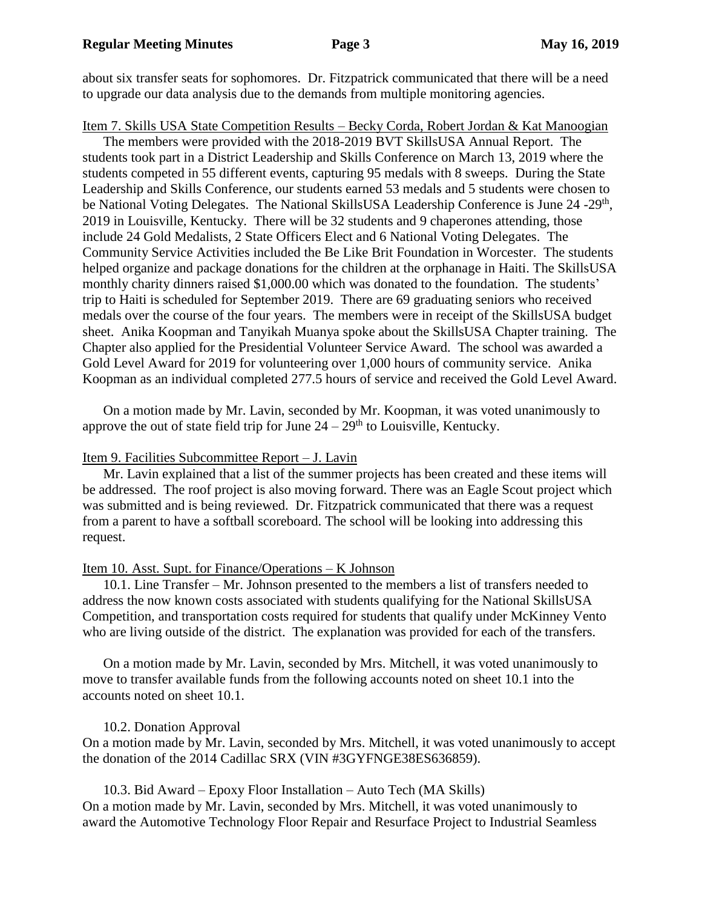about six transfer seats for sophomores. Dr. Fitzpatrick communicated that there will be a need to upgrade our data analysis due to the demands from multiple monitoring agencies.

Item 7. Skills USA State Competition Results – Becky Corda, Robert Jordan & Kat Manoogian

The members were provided with the 2018-2019 BVT SkillsUSA Annual Report. The students took part in a District Leadership and Skills Conference on March 13, 2019 where the students competed in 55 different events, capturing 95 medals with 8 sweeps. During the State Leadership and Skills Conference, our students earned 53 medals and 5 students were chosen to be National Voting Delegates. The National SkillsUSA Leadership Conference is June 24 -29<sup>th</sup>, 2019 in Louisville, Kentucky. There will be 32 students and 9 chaperones attending, those include 24 Gold Medalists, 2 State Officers Elect and 6 National Voting Delegates. The Community Service Activities included the Be Like Brit Foundation in Worcester. The students helped organize and package donations for the children at the orphanage in Haiti. The SkillsUSA monthly charity dinners raised \$1,000.00 which was donated to the foundation. The students' trip to Haiti is scheduled for September 2019. There are 69 graduating seniors who received medals over the course of the four years. The members were in receipt of the SkillsUSA budget sheet. Anika Koopman and Tanyikah Muanya spoke about the SkillsUSA Chapter training. The Chapter also applied for the Presidential Volunteer Service Award. The school was awarded a Gold Level Award for 2019 for volunteering over 1,000 hours of community service. Anika Koopman as an individual completed 277.5 hours of service and received the Gold Level Award.

On a motion made by Mr. Lavin, seconded by Mr. Koopman, it was voted unanimously to approve the out of state field trip for June  $24 - 29<sup>th</sup>$  to Louisville, Kentucky.

#### Item 9. Facilities Subcommittee Report – J. Lavin

Mr. Lavin explained that a list of the summer projects has been created and these items will be addressed. The roof project is also moving forward. There was an Eagle Scout project which was submitted and is being reviewed. Dr. Fitzpatrick communicated that there was a request from a parent to have a softball scoreboard. The school will be looking into addressing this request.

#### Item 10. Asst. Supt. for Finance/Operations – K Johnson

10.1. Line Transfer – Mr. Johnson presented to the members a list of transfers needed to address the now known costs associated with students qualifying for the National SkillsUSA Competition, and transportation costs required for students that qualify under McKinney Vento who are living outside of the district. The explanation was provided for each of the transfers.

On a motion made by Mr. Lavin, seconded by Mrs. Mitchell, it was voted unanimously to move to transfer available funds from the following accounts noted on sheet 10.1 into the accounts noted on sheet 10.1.

#### 10.2. Donation Approval

On a motion made by Mr. Lavin, seconded by Mrs. Mitchell, it was voted unanimously to accept the donation of the 2014 Cadillac SRX (VIN #3GYFNGE38ES636859).

10.3. Bid Award – Epoxy Floor Installation – Auto Tech (MA Skills) On a motion made by Mr. Lavin, seconded by Mrs. Mitchell, it was voted unanimously to award the Automotive Technology Floor Repair and Resurface Project to Industrial Seamless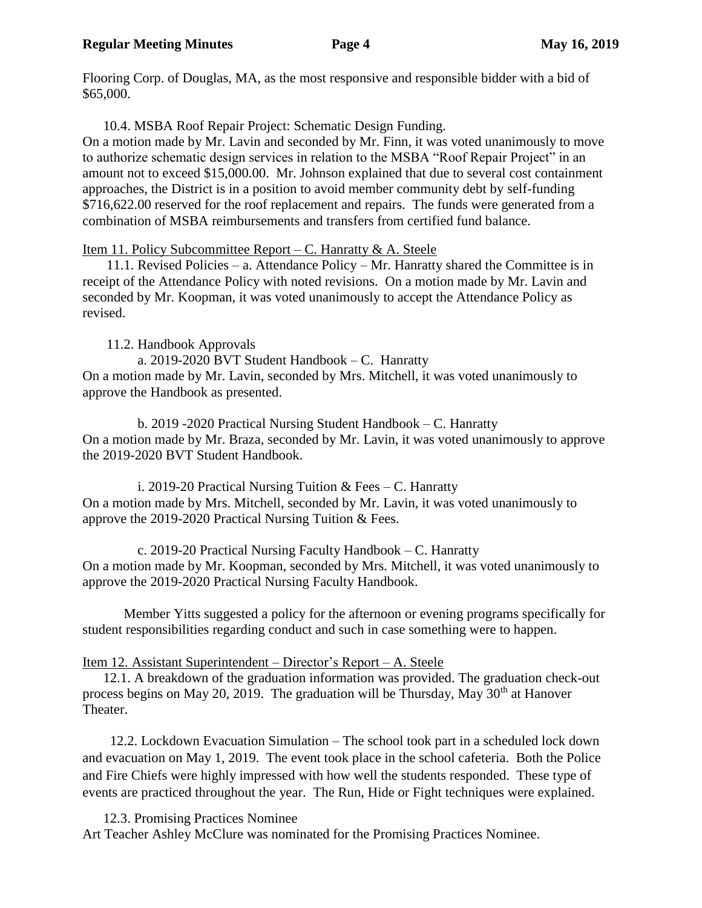Flooring Corp. of Douglas, MA, as the most responsive and responsible bidder with a bid of \$65,000.

10.4. MSBA Roof Repair Project: Schematic Design Funding.

On a motion made by Mr. Lavin and seconded by Mr. Finn, it was voted unanimously to move to authorize schematic design services in relation to the MSBA "Roof Repair Project" in an amount not to exceed \$15,000.00. Mr. Johnson explained that due to several cost containment approaches, the District is in a position to avoid member community debt by self-funding \$716,622.00 reserved for the roof replacement and repairs. The funds were generated from a combination of MSBA reimbursements and transfers from certified fund balance.

Item 11. Policy Subcommittee Report – C. Hanratty  $\&$  A. Steele

 11.1. Revised Policies – a. Attendance Policy – Mr. Hanratty shared the Committee is in receipt of the Attendance Policy with noted revisions. On a motion made by Mr. Lavin and seconded by Mr. Koopman, it was voted unanimously to accept the Attendance Policy as revised.

11.2. Handbook Approvals

 a. 2019-2020 BVT Student Handbook – C. Hanratty On a motion made by Mr. Lavin, seconded by Mrs. Mitchell, it was voted unanimously to approve the Handbook as presented.

 b. 2019 -2020 Practical Nursing Student Handbook – C. Hanratty On a motion made by Mr. Braza, seconded by Mr. Lavin, it was voted unanimously to approve the 2019-2020 BVT Student Handbook.

i. 2019-20 Practical Nursing Tuition  $\&$  Fees – C. Hanratty On a motion made by Mrs. Mitchell, seconded by Mr. Lavin, it was voted unanimously to approve the 2019-2020 Practical Nursing Tuition & Fees.

 c. 2019-20 Practical Nursing Faculty Handbook – C. Hanratty On a motion made by Mr. Koopman, seconded by Mrs. Mitchell, it was voted unanimously to approve the 2019-2020 Practical Nursing Faculty Handbook.

Member Yitts suggested a policy for the afternoon or evening programs specifically for student responsibilities regarding conduct and such in case something were to happen.

# Item 12. Assistant Superintendent – Director's Report – A. Steele

 12.1. A breakdown of the graduation information was provided. The graduation check-out process begins on May 20, 2019. The graduation will be Thursday, May  $30<sup>th</sup>$  at Hanover Theater.

 12.2. Lockdown Evacuation Simulation – The school took part in a scheduled lock down and evacuation on May 1, 2019. The event took place in the school cafeteria. Both the Police and Fire Chiefs were highly impressed with how well the students responded. These type of events are practiced throughout the year. The Run, Hide or Fight techniques were explained.

12.3. Promising Practices Nominee Art Teacher Ashley McClure was nominated for the Promising Practices Nominee.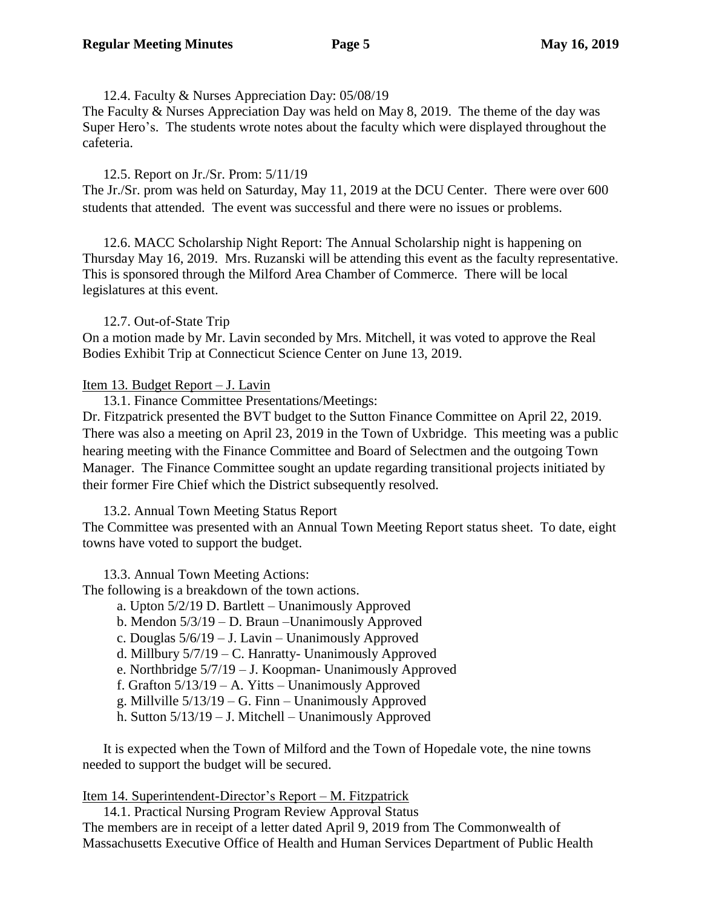12.4. Faculty & Nurses Appreciation Day: 05/08/19 The Faculty & Nurses Appreciation Day was held on May 8, 2019. The theme of the day was Super Hero's. The students wrote notes about the faculty which were displayed throughout the cafeteria.

#### 12.5. Report on Jr./Sr. Prom: 5/11/19

The Jr./Sr. prom was held on Saturday, May 11, 2019 at the DCU Center. There were over 600 students that attended. The event was successful and there were no issues or problems.

12.6. MACC Scholarship Night Report: The Annual Scholarship night is happening on Thursday May 16, 2019. Mrs. Ruzanski will be attending this event as the faculty representative. This is sponsored through the Milford Area Chamber of Commerce. There will be local legislatures at this event.

#### 12.7. Out-of-State Trip

On a motion made by Mr. Lavin seconded by Mrs. Mitchell, it was voted to approve the Real Bodies Exhibit Trip at Connecticut Science Center on June 13, 2019.

#### Item 13. Budget Report – J. Lavin

13.1. Finance Committee Presentations/Meetings:

Dr. Fitzpatrick presented the BVT budget to the Sutton Finance Committee on April 22, 2019. There was also a meeting on April 23, 2019 in the Town of Uxbridge. This meeting was a public hearing meeting with the Finance Committee and Board of Selectmen and the outgoing Town Manager. The Finance Committee sought an update regarding transitional projects initiated by their former Fire Chief which the District subsequently resolved.

13.2. Annual Town Meeting Status Report

The Committee was presented with an Annual Town Meeting Report status sheet. To date, eight towns have voted to support the budget.

13.3. Annual Town Meeting Actions:

The following is a breakdown of the town actions.

- a. Upton 5/2/19 D. Bartlett Unanimously Approved
- b. Mendon 5/3/19 D. Braun –Unanimously Approved
- c. Douglas 5/6/19 J. Lavin Unanimously Approved
- d. Millbury  $5/7/19 C$ . Hanratty- Unanimously Approved
- e. Northbridge 5/7/19 J. Koopman- Unanimously Approved
- f. Grafton 5/13/19 A. Yitts Unanimously Approved
- g. Millville 5/13/19 G. Finn Unanimously Approved
- h. Sutton 5/13/19 J. Mitchell Unanimously Approved

It is expected when the Town of Milford and the Town of Hopedale vote, the nine towns needed to support the budget will be secured.

#### Item 14. Superintendent-Director's Report – M. Fitzpatrick

14.1. Practical Nursing Program Review Approval Status

The members are in receipt of a letter dated April 9, 2019 from The Commonwealth of Massachusetts Executive Office of Health and Human Services Department of Public Health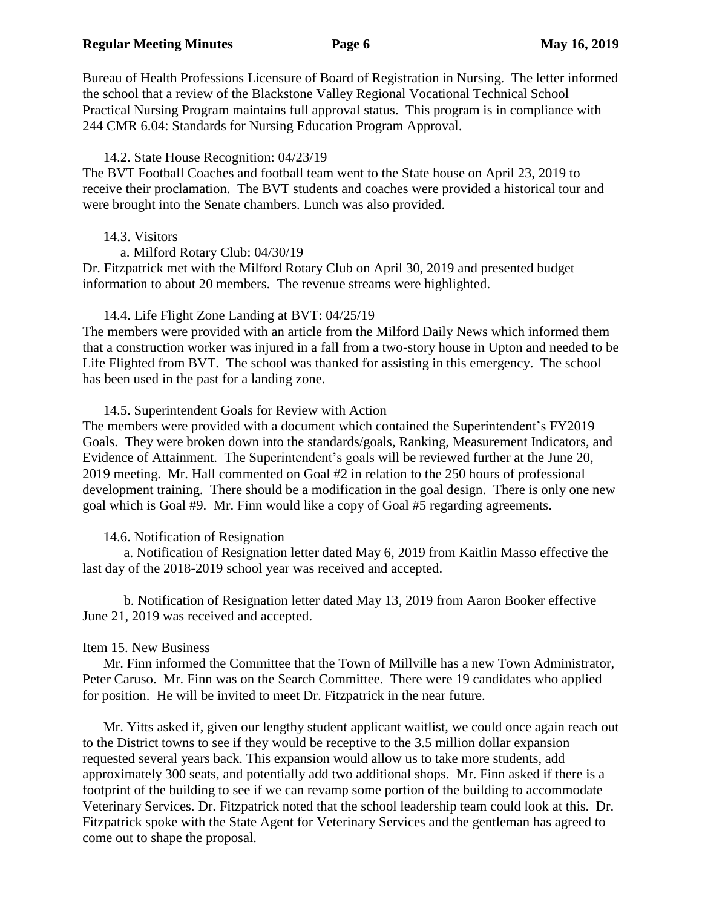Bureau of Health Professions Licensure of Board of Registration in Nursing. The letter informed the school that a review of the Blackstone Valley Regional Vocational Technical School Practical Nursing Program maintains full approval status. This program is in compliance with 244 CMR 6.04: Standards for Nursing Education Program Approval.

### 14.2. State House Recognition: 04/23/19

The BVT Football Coaches and football team went to the State house on April 23, 2019 to receive their proclamation. The BVT students and coaches were provided a historical tour and were brought into the Senate chambers. Lunch was also provided.

### 14.3. Visitors

a. Milford Rotary Club: 04/30/19

Dr. Fitzpatrick met with the Milford Rotary Club on April 30, 2019 and presented budget information to about 20 members. The revenue streams were highlighted.

# 14.4. Life Flight Zone Landing at BVT: 04/25/19

The members were provided with an article from the Milford Daily News which informed them that a construction worker was injured in a fall from a two-story house in Upton and needed to be Life Flighted from BVT. The school was thanked for assisting in this emergency. The school has been used in the past for a landing zone.

### 14.5. Superintendent Goals for Review with Action

The members were provided with a document which contained the Superintendent's FY2019 Goals. They were broken down into the standards/goals, Ranking, Measurement Indicators, and Evidence of Attainment. The Superintendent's goals will be reviewed further at the June 20, 2019 meeting. Mr. Hall commented on Goal #2 in relation to the 250 hours of professional development training. There should be a modification in the goal design. There is only one new goal which is Goal #9. Mr. Finn would like a copy of Goal #5 regarding agreements.

# 14.6. Notification of Resignation

a. Notification of Resignation letter dated May 6, 2019 from Kaitlin Masso effective the last day of the 2018-2019 school year was received and accepted.

b. Notification of Resignation letter dated May 13, 2019 from Aaron Booker effective June 21, 2019 was received and accepted.

# Item 15. New Business

Mr. Finn informed the Committee that the Town of Millville has a new Town Administrator, Peter Caruso. Mr. Finn was on the Search Committee. There were 19 candidates who applied for position. He will be invited to meet Dr. Fitzpatrick in the near future.

Mr. Yitts asked if, given our lengthy student applicant waitlist, we could once again reach out to the District towns to see if they would be receptive to the 3.5 million dollar expansion requested several years back. This expansion would allow us to take more students, add approximately 300 seats, and potentially add two additional shops. Mr. Finn asked if there is a footprint of the building to see if we can revamp some portion of the building to accommodate Veterinary Services. Dr. Fitzpatrick noted that the school leadership team could look at this. Dr. Fitzpatrick spoke with the State Agent for Veterinary Services and the gentleman has agreed to come out to shape the proposal.